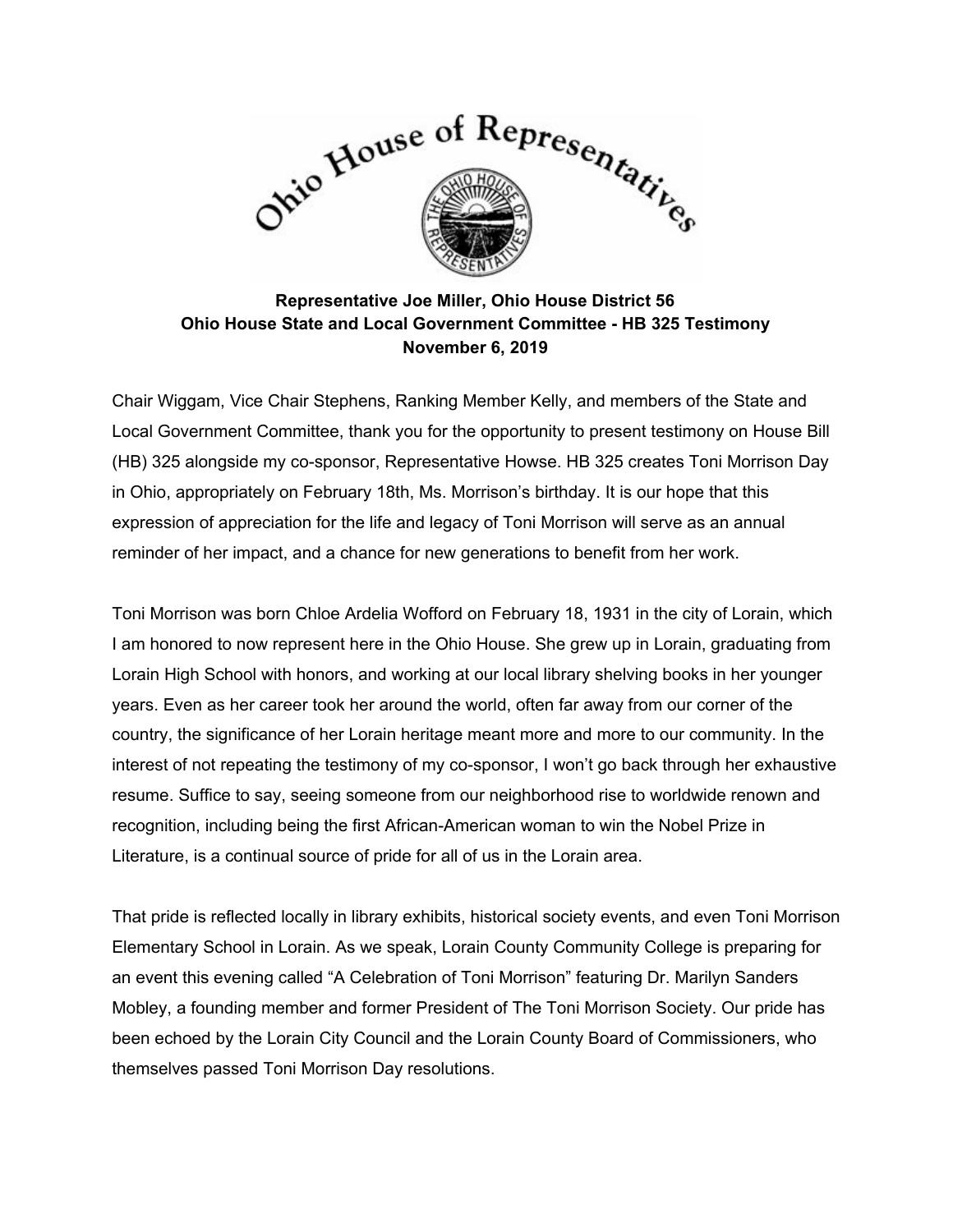

## **Representative Joe Miller, Ohio House District 56 Ohio House State and Local Government Committee - HB 325 Testimony November 6, 2019**

Chair Wiggam, Vice Chair Stephens, Ranking Member Kelly, and members of the State and Local Government Committee, thank you for the opportunity to present testimony on House Bill (HB) 325 alongside my co-sponsor, Representative Howse. HB 325 creates Toni Morrison Day in Ohio, appropriately on February 18th, Ms. Morrison's birthday. It is our hope that this expression of appreciation for the life and legacy of Toni Morrison will serve as an annual reminder of her impact, and a chance for new generations to benefit from her work.

Toni Morrison was born Chloe Ardelia Wofford on February 18, 1931 in the city of Lorain, which I am honored to now represent here in the Ohio House. She grew up in Lorain, graduating from Lorain High School with honors, and working at our local library shelving books in her younger years. Even as her career took her around the world, often far away from our corner of the country, the significance of her Lorain heritage meant more and more to our community. In the interest of not repeating the testimony of my co-sponsor, I won't go back through her exhaustive resume. Suffice to say, seeing someone from our neighborhood rise to worldwide renown and recognition, including being the first African-American woman to win the Nobel Prize in Literature, is a continual source of pride for all of us in the Lorain area.

That pride is reflected locally in library exhibits, historical society events, and even Toni Morrison Elementary School in Lorain. As we speak, Lorain County Community College is preparing for an event this evening called "A Celebration of Toni Morrison" featuring Dr. Marilyn Sanders Mobley, a founding member and former President of The Toni Morrison Society. Our pride has been echoed by the Lorain City Council and the Lorain County Board of Commissioners, who themselves passed Toni Morrison Day resolutions.